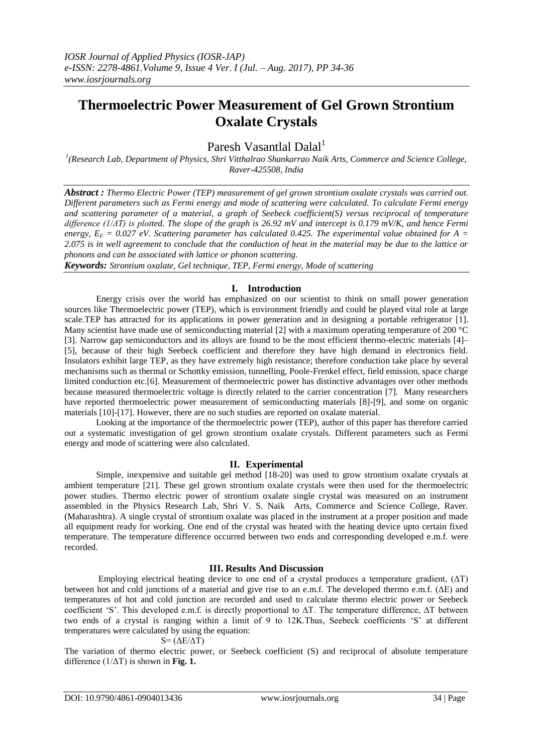# **Thermoelectric Power Measurement of Gel Grown Strontium Oxalate Crystals**

Paresh Vasantlal Dalal<sup>1</sup>

*1 (Research Lab, Department of Physics, Shri Vitthalrao Shankarrao Naik Arts, Commerce and Science College, Raver-425508, India*

*Abstract : Thermo Electric Power (TEP) measurement of gel grown strontium oxalate crystals was carried out. Different parameters such as Fermi energy and mode of scattering were calculated. To calculate Fermi energy and scattering parameter of a material, a graph of Seebeck coefficient(S) versus reciprocal of temperature difference (1/ΔT) is plotted. The slope of the graph is 26.92 mV and intercept is 0.179 mV/K, and hence Fermi energy,*  $E_F = 0.027$  *eV. Scattering parameter has calculated 0.425. The experimental value obtained for A =*  $\frac{1}{2}$ *2.075 is in well agreement to conclude that the conduction of heat in the material may be due to the lattice or phonons and can be associated with lattice or phonon scattering.* 

*Keywords: Strontium oxalate, Gel technique, TEP, Fermi energy, Mode of scattering*

# **I. Introduction**

Energy crisis over the world has emphasized on our scientist to think on small power generation sources like Thermoelectric power (TEP), which is environment friendly and could be played vital role at large scale.TEP has attracted for its applications in power generation and in designing a portable refrigerator [1]. Many scientist have made use of semiconducting material [2] with a maximum operating temperature of 200 °C [3]. Narrow gap semiconductors and its alloys are found to be the most efficient thermo-electric materials [4]– [5], because of their high Seebeck coefficient and therefore they have high demand in electronics field. Insulators exhibit large TEP, as they have extremely high resistance; therefore conduction take place by several mechanisms such as thermal or Schottky emission, tunnelling, Poole-Frenkel effect, field emission, space charge limited conduction etc.[6]. Measurement of thermoelectric power has distinctive advantages over other methods because measured thermoelectric voltage is directly related to the carrier concentration [7]. Many researchers have reported thermoelectric power measurement of semiconducting materials [8]-[9], and some on organic materials [10]-[17]. However, there are no such studies are reported on oxalate material.

Looking at the importance of the thermoelectric power (TEP), author of this paper has therefore carried out a systematic investigation of gel grown strontium oxalate crystals. Different parameters such as Fermi energy and mode of scattering were also calculated.

# **II. Experimental**

Simple, inexpensive and suitable gel method [18-20] was used to grow strontium oxalate crystals at ambient temperature [21]. These gel grown strontium oxalate crystals were then used for the thermoelectric power studies. Thermo electric power of strontium oxalate single crystal was measured on an instrument assembled in the Physics Research Lab, Shri V. S. Naik Arts, Commerce and Science College, Raver. (Maharashtra). A single crystal of strontium oxalate was placed in the instrument at a proper position and made all equipment ready for working. One end of the crystal was heated with the heating device upto certain fixed temperature. The temperature difference occurred between two ends and corresponding developed e.m.f. were recorded.

# **III. Results And Discussion**

Employing electrical heating device to one end of a crystal produces a temperature gradient, (ΔT) between hot and cold junctions of a material and give rise to an e.m.f. The developed thermo e.m.f. (ΔE) and temperatures of hot and cold junction are recorded and used to calculate thermo electric power or Seebeck coefficient 'S'. This developed e.m.f. is directly proportional to ΔT. The temperature difference, ΔT between two ends of a crystal is ranging within a limit of 9 to 12K.Thus, Seebeck coefficients 'S' at different temperatures were calculated by using the equation:

# $S=(\Delta E/\Delta T)$

The variation of thermo electric power, or Seebeck coefficient (S) and reciprocal of absolute temperature difference (1/ΔT) is shown in **Fig. 1.**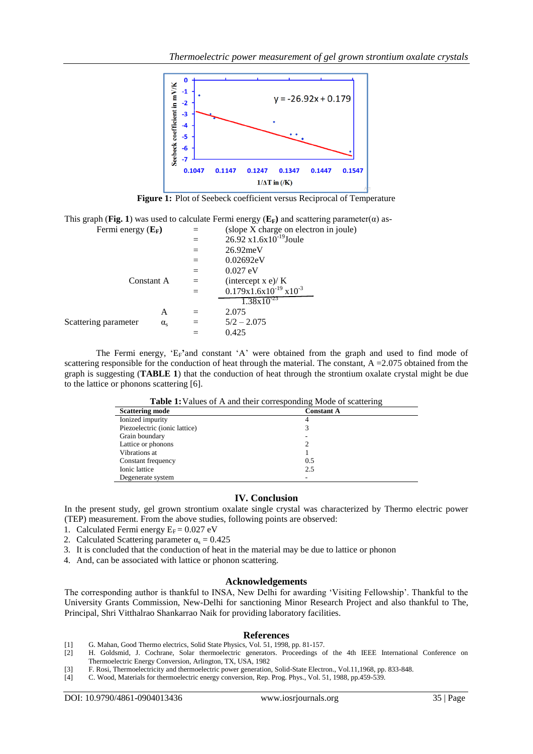

**Figure 1:** Plot of Seebeck coefficient versus Reciprocal of Temperature

This graph (Fig. 1) was used to calculate Fermi energy ( $E_F$ ) and scattering parameter( $\alpha$ ) as- $\sin$  in joule)

| Fermi energy $(E_F)$ |                  |     | (slope X charge on electro                  |
|----------------------|------------------|-----|---------------------------------------------|
|                      |                  |     | $26.92 \text{ x}1.6 \text{x}10^{-19}$ Joule |
|                      |                  | $=$ | $26.92$ meV                                 |
|                      |                  |     | 0.02692eV                                   |
| Constant A           |                  | $=$ | $0.027$ eV                                  |
|                      |                  |     | intercept x e)/ K                           |
|                      |                  |     | $0.179x1.6x10^{-19}x10^{-3}$                |
|                      |                  |     | $1.38 \times 10^{-23}$                      |
|                      | А                |     | 2.075                                       |
| Scattering parameter | $\alpha_{\rm c}$ | $=$ | $5/2 - 2.075$                               |
|                      |                  |     | 0.425                                       |

The Fermi energy, 'EF**'**and constant 'A' were obtained from the graph and used to find mode of scattering responsible for the conduction of heat through the material. The constant,  $A = 2.075$  obtained from the graph is suggesting (**TABLE 1**) that the conduction of heat through the strontium oxalate crystal might be due to the lattice or phonons scattering [6].

| <b>Table 1.</b> Values of 13 and their corresponding inouc of seationing |                   |  |  |
|--------------------------------------------------------------------------|-------------------|--|--|
| <b>Scattering mode</b>                                                   | <b>Constant A</b> |  |  |
| Ionized impurity                                                         |                   |  |  |
| Piezoelectric (ionic lattice)                                            |                   |  |  |
| Grain boundary                                                           |                   |  |  |
| Lattice or phonons                                                       |                   |  |  |
| Vibrations at                                                            |                   |  |  |
| Constant frequency                                                       | 0.5               |  |  |
| Ionic lattice                                                            | 2.5               |  |  |
| Degenerate system                                                        |                   |  |  |

**Table 1:**Values of A and their corresponding Mode of scattering

## **IV. Conclusion**

In the present study, gel grown strontium oxalate single crystal was characterized by Thermo electric power (TEP) measurement. From the above studies, following points are observed:

- 1. Calculated Fermi energy  $E_F = 0.027$  eV
- 2. Calculated Scattering parameter  $\alpha_s = 0.425$
- 3. It is concluded that the conduction of heat in the material may be due to lattice or phonon
- 4. And, can be associated with lattice or phonon scattering.

## **Acknowledgements**

The corresponding author is thankful to INSA, New Delhi for awarding 'Visiting Fellowship'. Thankful to the University Grants Commission, New-Delhi for sanctioning Minor Research Project and also thankful to The, Principal, Shri Vitthalrao Shankarrao Naik for providing laboratory facilities.

#### **References**

- [1] G. Mahan, Good Thermo electrics, Solid State Physics, Vol. 51, 1998, pp. 81-157.
- [2] H. Goldsmid, J. Cochrane, Solar thermoelectric generators. Proceedings of the 4th IEEE International Conference on Thermoelectric Energy Conversion, Arlington, TX, USA, 1982
- [3] F. Rosi, Thermoelectricity and thermoelectric power generation, Solid-State Electron., Vol.11,1968, pp. 833-848.
- [4] C. Wood, Materials for thermoelectric energy conversion, Rep. Prog. Phys., Vol. 51, 1988, pp.459-539.